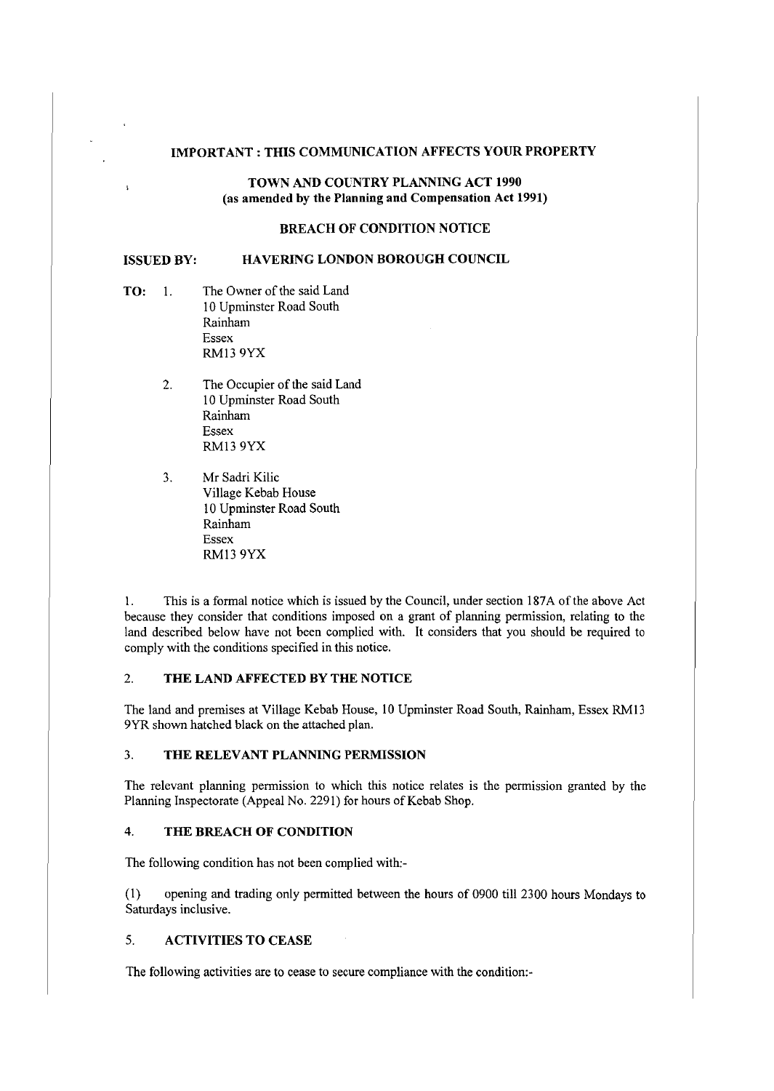#### **IMPORTANT: THIS COMMUNICATION AFFECTS YOUR PROPERTY**

### **TOWN AND COUNTRY PLANNING ACT 1990** (as **amended by the Planning and Compensation Act 1991)**

# **BREACH OF CONDITION NOTICE**

#### **ISSUED BY: HAVERING LONDON BOROUGH COUNCIL**

TO: 1. The Owner of the said Land 10 Upminster Road South Rainham Essex RM13 9YX

 $\overline{\mathbf{r}}$ 

- 2. The Occupier of the said Land 10 Upminster Road South Rainham Essex RMl3 9YX
- 3. Mr Sadri Kilic Village Kebab House 10 Upminster Road South Rainham Essex RM13 9YX

1. This is a formal notice which is issued by the Council, under section 187A of the above Act because they consider that conditions imposed on a grant of planning permission, relating to the land described below have not been complied with. It considers that you should be required to comply with the conditions specified in this notice.

## 2. **THE LAND AFFECTED BY THE NOTICE**

The land and premises at Village Kebab House, 10 Upminster Road South, Rainham, Essex RM13 9YR shown hatched black on the attached plan.

#### 3. **THE RELEVANT PLANNING PERMISSION**

The relevant planning permission to which this notice relates is the permission granted by the Planning Inspectorate (Appeal No. 2291) for hours of Kebab Shop.

#### 4. **THE BREACH OF CONDITION**

The following condition has not been complied with:

(I) opening and trading only permitted between the hours of 0900 till 2300 hours Mondays to Saturdays inclusive.

#### 5. **ACTIVITIES TO CEASE**

The following activities are to cease to secure compliance with the condition: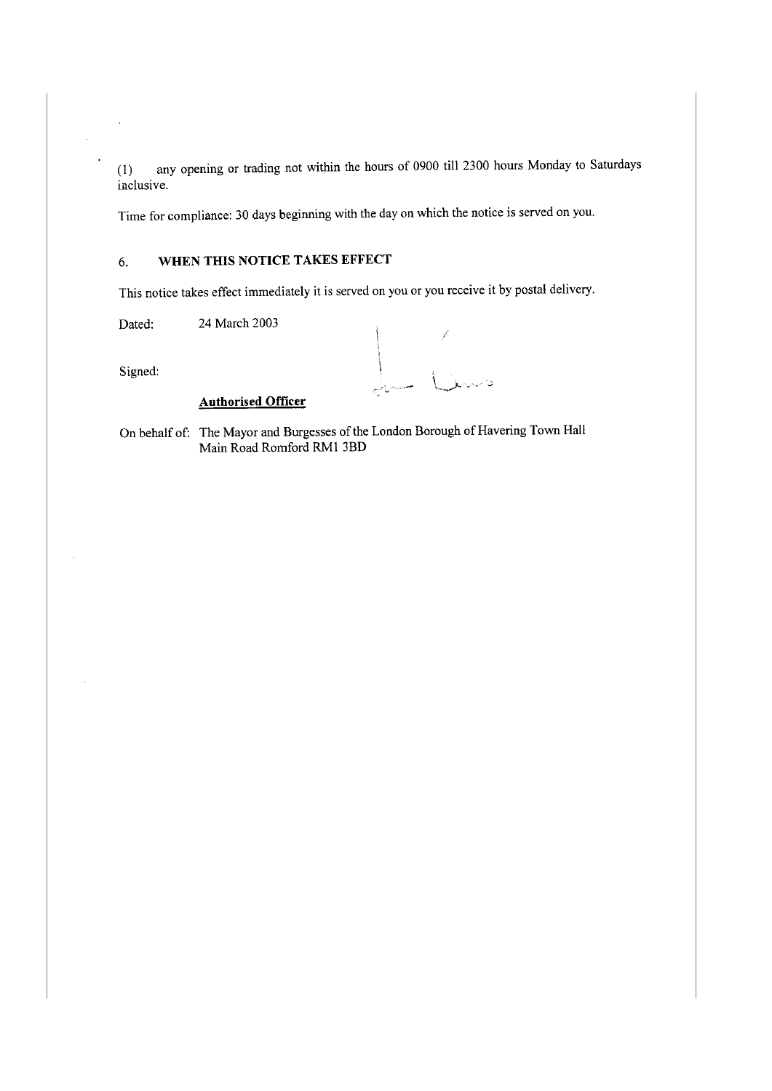(I) any opening or trading not within the hours of 0900 till 2300 hours Monday to Saturdays inclusive.

Time for compliance: 30 days beginning with the day on which the notice is served on you.

# 6. **WHEN THIS NOTICE TAKES EFFECT**

This notice takes effect immediately it is served on you or you receive it by postal delivery.

Dated: 24 March 2003

Signed:

L Line

# **Authorised Officer**

On behalf of: The Mayor and Burgesses of the London Borough of Havering Town Hall Main Road Romford RMI 3BD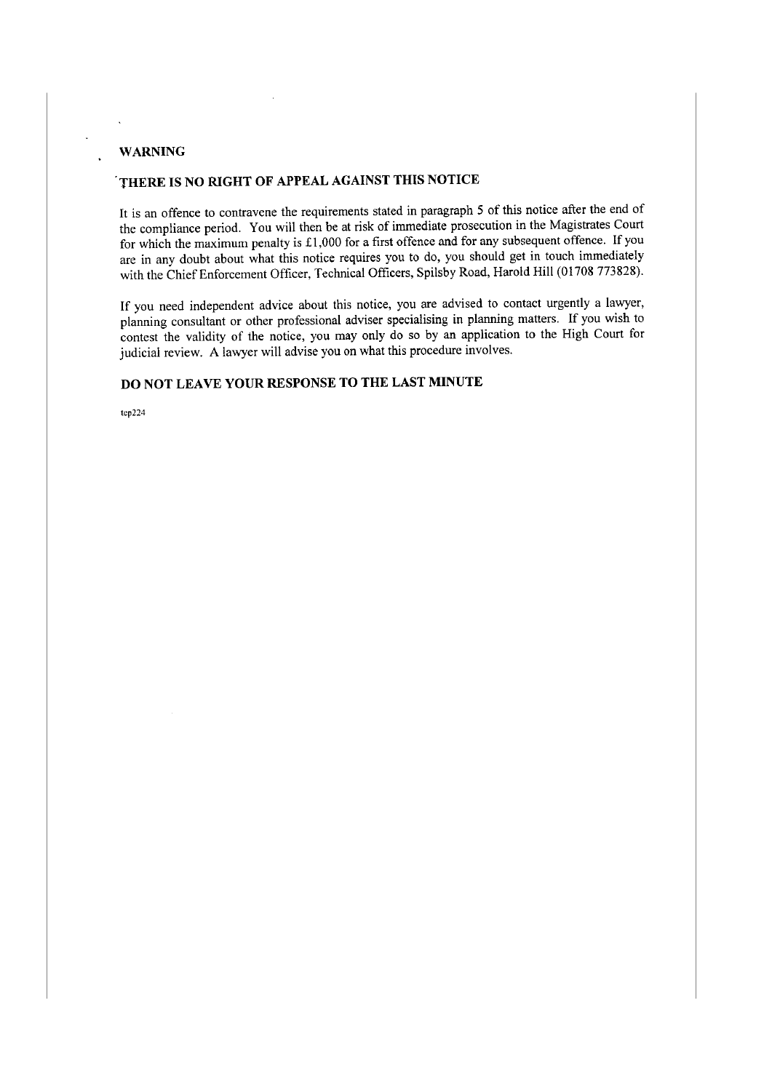## **WARNING**

# **.THERE IS NO RIGHT OF APPEAL AGAINST THIS NOTICE**

It is an offence to contravene the requirements stated in paragraph 5 of this notice after the end of the compliance period. You will then be at risk of immediate prosecution in the Magistrates Court for which the maximum penalty is £1,000 for a first offence and for any subsequent offence. If you are in any doubt about what this notice requires you to do, you should get in touch immediately with the Chief Enforcement Officer, Technical Officers, Spilsby Road, Harold Hill (01708 773828).

If you need independent advice about this notice, you are advised to contact urgently a lawyer, planning consultant or other professional adviser specialising in planning matters. If you wish to contest the validity of the notice, you may only do so by an application to the High Court for judicial review. A lawyer will advise you on what this procedure involves.

## **DO NOT LEAVE YOUR RESPONSE TO THE LAST MINUTE**

**tcp224**